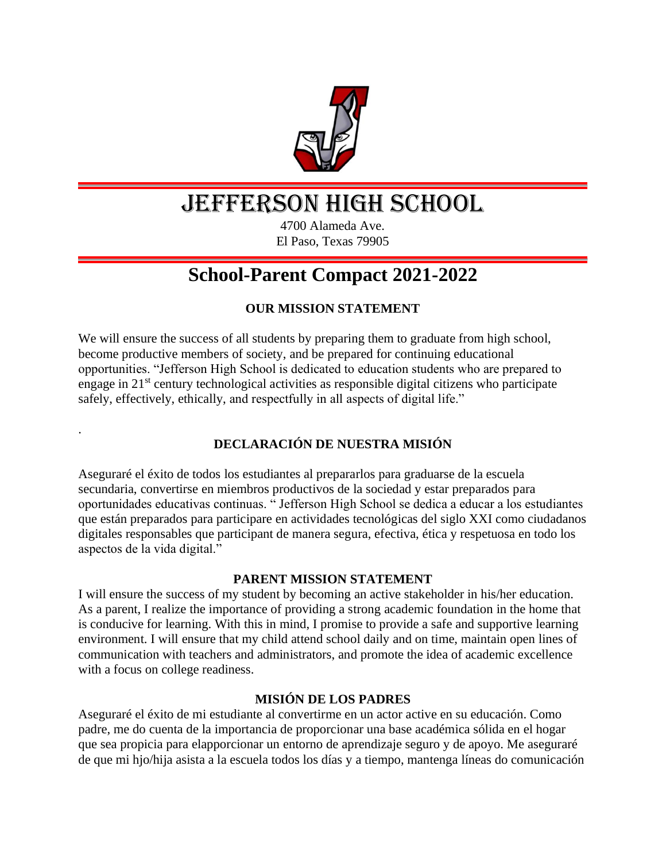

# JEFFERSON HIGH SCHOOL

4700 Alameda Ave. El Paso, Texas 79905

# **School-Parent Compact 2021-2022**

# **OUR MISSION STATEMENT**

We will ensure the success of all students by preparing them to graduate from high school, become productive members of society, and be prepared for continuing educational opportunities. "Jefferson High School is dedicated to education students who are prepared to engage in  $21<sup>st</sup>$  century technological activities as responsible digital citizens who participate safely, effectively, ethically, and respectfully in all aspects of digital life."

.

# **DECLARACIÓN DE NUESTRA MISIÓN**

Aseguraré el éxito de todos los estudiantes al prepararlos para graduarse de la escuela secundaria, convertirse en miembros productivos de la sociedad y estar preparados para oportunidades educativas continuas. " Jefferson High School se dedica a educar a los estudiantes que están preparados para participare en actividades tecnológicas del siglo XXI como ciudadanos digitales responsables que participant de manera segura, efectiva, ética y respetuosa en todo los aspectos de la vida digital."

### **PARENT MISSION STATEMENT**

I will ensure the success of my student by becoming an active stakeholder in his/her education. As a parent, I realize the importance of providing a strong academic foundation in the home that is conducive for learning. With this in mind, I promise to provide a safe and supportive learning environment. I will ensure that my child attend school daily and on time, maintain open lines of communication with teachers and administrators, and promote the idea of academic excellence with a focus on college readiness.

### **MISIÓN DE LOS PADRES**

Aseguraré el éxito de mi estudiante al convertirme en un actor active en su educación. Como padre, me do cuenta de la importancia de proporcionar una base académica sólida en el hogar que sea propicia para elapporcionar un entorno de aprendizaje seguro y de apoyo. Me aseguraré de que mi hjo/hija asista a la escuela todos los días y a tiempo, mantenga líneas do comunicación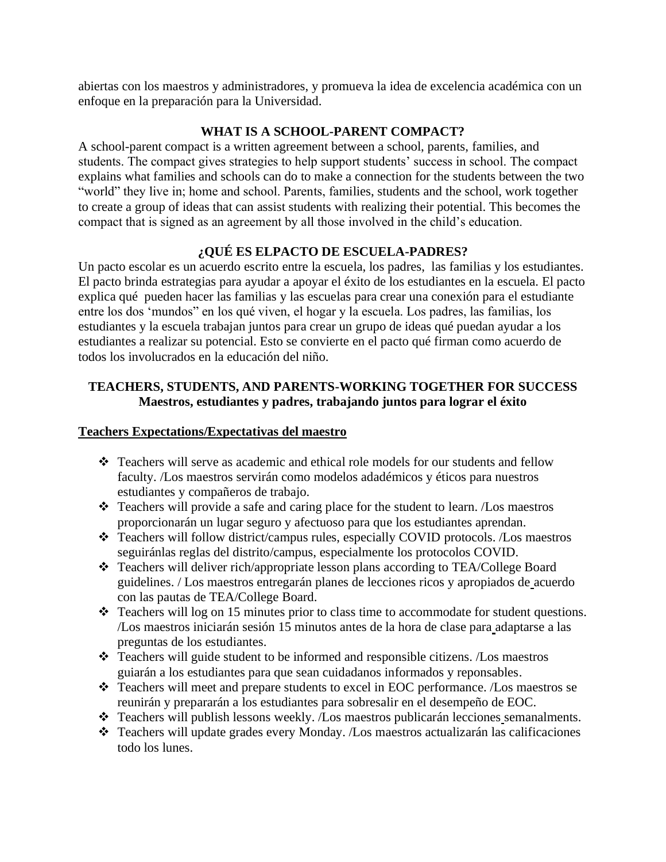abiertas con los maestros y administradores, y promueva la idea de excelencia académica con un enfoque en la preparación para la Universidad.

### **WHAT IS A SCHOOL-PARENT COMPACT?**

A school-parent compact is a written agreement between a school, parents, families, and students. The compact gives strategies to help support students' success in school. The compact explains what families and schools can do to make a connection for the students between the two "world" they live in; home and school. Parents, families, students and the school, work together to create a group of ideas that can assist students with realizing their potential. This becomes the compact that is signed as an agreement by all those involved in the child's education.

# **¿QUÉ ES ELPACTO DE ESCUELA-PADRES?**

Un pacto escolar es un acuerdo escrito entre la escuela, los padres, las familias y los estudiantes. El pacto brinda estrategias para ayudar a apoyar el éxito de los estudiantes en la escuela. El pacto explica qué pueden hacer las familias y las escuelas para crear una conexión para el estudiante entre los dos 'mundos" en los qué viven, el hogar y la escuela. Los padres, las familias, los estudiantes y la escuela trabajan juntos para crear un grupo de ideas qué puedan ayudar a los estudiantes a realizar su potencial. Esto se convierte en el pacto qué firman como acuerdo de todos los involucrados en la educación del niño.

# **TEACHERS, STUDENTS, AND PARENTS-WORKING TOGETHER FOR SUCCESS Maestros, estudiantes y padres, trabajando juntos para lograr el éxito**

### **Teachers Expectations/Expectativas del maestro**

- ❖ Teachers will serve as academic and ethical role models for our students and fellow faculty. /Los maestros servirán como modelos adadémicos y éticos para nuestros estudiantes y compañeros de trabajo.
- ❖ Teachers will provide a safe and caring place for the student to learn. /Los maestros proporcionarán un lugar seguro y afectuoso para que los estudiantes aprendan.
- ❖ Teachers will follow district/campus rules, especially COVID protocols. /Los maestros seguiránlas reglas del distrito/campus, especialmente los protocolos COVID.
- ❖ Teachers will deliver rich/appropriate lesson plans according to TEA/College Board guidelines. / Los maestros entregarán planes de lecciones ricos y apropiados de acuerdo con las pautas de TEA/College Board.
- ❖ Teachers will log on 15 minutes prior to class time to accommodate for student questions. /Los maestros iniciarán sesión 15 minutos antes de la hora de clase para adaptarse a las preguntas de los estudiantes.
- ❖ Teachers will guide student to be informed and responsible citizens. /Los maestros guiarán a los estudiantes para que sean cuidadanos informados y reponsables.
- ❖ Teachers will meet and prepare students to excel in EOC performance. /Los maestros se reunirán y prepararán a los estudiantes para sobresalir en el desempeño de EOC.
- ❖ Teachers will publish lessons weekly. /Los maestros publicarán lecciones semanalments.
- ❖ Teachers will update grades every Monday. /Los maestros actualizarán las calificaciones todo los lunes.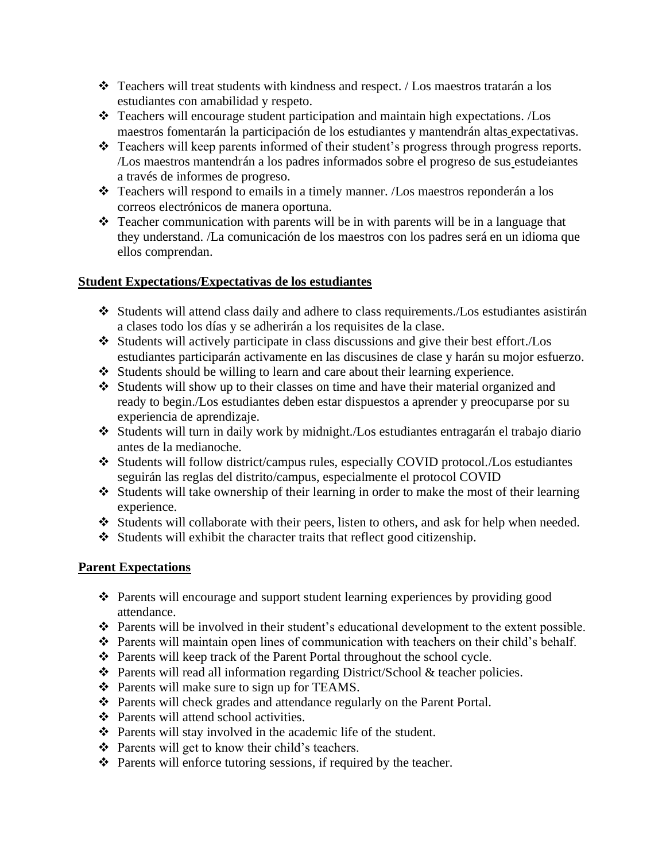- ❖ Teachers will treat students with kindness and respect. / Los maestros tratarán a los estudiantes con amabilidad y respeto.
- ❖ Teachers will encourage student participation and maintain high expectations. /Los maestros fomentarán la participación de los estudiantes y mantendrán altas expectativas.
- ❖ Teachers will keep parents informed of their student's progress through progress reports. /Los maestros mantendrán a los padres informados sobre el progreso de sus estudeiantes a través de informes de progreso.
- ❖ Teachers will respond to emails in a timely manner. /Los maestros reponderán a los correos electrónicos de manera oportuna.
- $\triangle$  Teacher communication with parents will be in with parents will be in a language that they understand. /La comunicación de los maestros con los padres será en un idioma que ellos comprendan.

### **Student Expectations/Expectativas de los estudiantes**

- ❖ Students will attend class daily and adhere to class requirements./Los estudiantes asistirán a clases todo los días y se adherirán a los requisites de la clase.
- ❖ Students will actively participate in class discussions and give their best effort./Los estudiantes participarán activamente en las discusines de clase y harán su mojor esfuerzo.
- ❖ Students should be willing to learn and care about their learning experience.
- ❖ Students will show up to their classes on time and have their material organized and ready to begin./Los estudiantes deben estar dispuestos a aprender y preocuparse por su experiencia de aprendizaje.
- ❖ Students will turn in daily work by midnight./Los estudiantes entragarán el trabajo diario antes de la medianoche.
- ❖ Students will follow district/campus rules, especially COVID protocol./Los estudiantes seguirán las reglas del distrito/campus, especialmente el protocol COVID
- ❖ Students will take ownership of their learning in order to make the most of their learning experience.
- ❖ Students will collaborate with their peers, listen to others, and ask for help when needed.
- ❖ Students will exhibit the character traits that reflect good citizenship.

# **Parent Expectations**

- ❖ Parents will encourage and support student learning experiences by providing good attendance.
- ❖ Parents will be involved in their student's educational development to the extent possible.
- ❖ Parents will maintain open lines of communication with teachers on their child's behalf.
- ❖ Parents will keep track of the Parent Portal throughout the school cycle.
- ❖ Parents will read all information regarding District/School & teacher policies.
- ❖ Parents will make sure to sign up for TEAMS.
- ❖ Parents will check grades and attendance regularly on the Parent Portal.
- ❖ Parents will attend school activities.
- ❖ Parents will stay involved in the academic life of the student.
- ❖ Parents will get to know their child's teachers.
- ❖ Parents will enforce tutoring sessions, if required by the teacher.